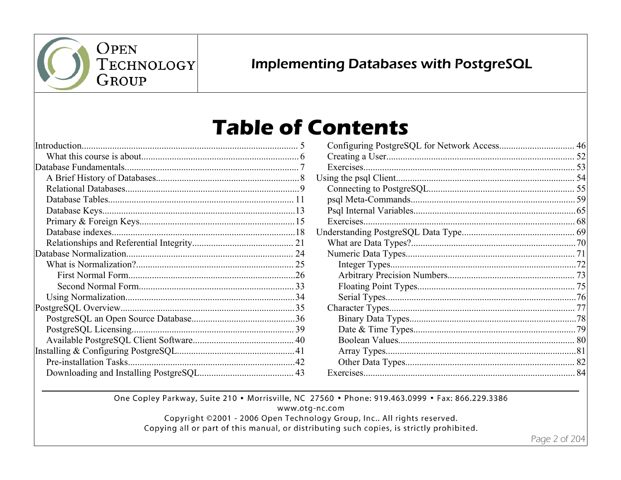

## **Implementing Databases with PostgreSQL**

## **Table of Contents**

|  | Introduction |  |
|--|--------------|--|
|  |              |  |
|  |              |  |
|  |              |  |
|  |              |  |
|  |              |  |
|  |              |  |
|  |              |  |
|  |              |  |
|  |              |  |
|  |              |  |
|  |              |  |
|  |              |  |
|  |              |  |
|  |              |  |
|  |              |  |
|  |              |  |
|  |              |  |
|  |              |  |
|  |              |  |
|  |              |  |
|  |              |  |
|  |              |  |

| .81 |
|-----|
|     |
|     |

One Copley Parkway, Suite 210 . Morrisville, NC 27560 . Phone: 919.463.0999 . Fax: 866.229.3386

www.otg-nc.com

Copyright ©2001 - 2006 Open Technology Group, Inc.. All rights reserved.

Copying all or part of this manual, or distributing such copies, is strictly prohibited.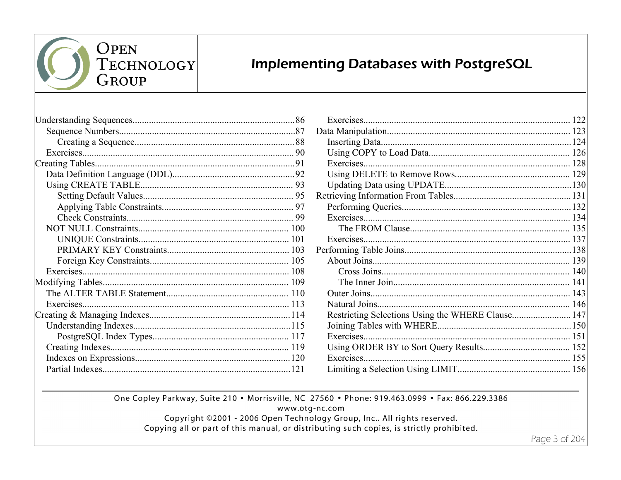

**Implementing Databases with PostgreSQL** 

| Exercises |  |
|-----------|--|
|           |  |
|           |  |
|           |  |
|           |  |
|           |  |
|           |  |

| Restricting Selections Using the WHERE Clause 147 |  |
|---------------------------------------------------|--|
|                                                   |  |
|                                                   |  |
|                                                   |  |
|                                                   |  |
|                                                   |  |

One Copley Parkway, Suite 210 . Morrisville, NC 27560 . Phone: 919.463.0999 . Fax: 866.229.3386

www.otg-nc.com

Copyright ©2001 - 2006 Open Technology Group, Inc.. All rights reserved.

Copying all or part of this manual, or distributing such copies, is strictly prohibited.